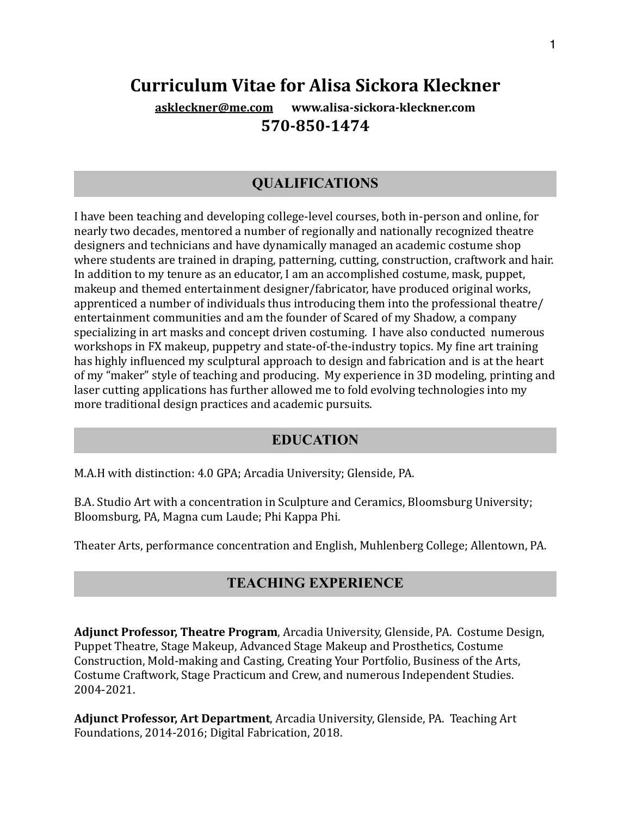# **Curriculum Vitae for Alisa Sickora Kleckner**

**[askleckner@me.com](mailto:askleckner@me.com) www.alisa-sickora-kleckner.com 570-850-1474**

# **QUALIFICATIONS**

I have been teaching and developing college-level courses, both in-person and online, for nearly two decades, mentored a number of regionally and nationally recognized theatre designers and technicians and have dynamically managed an academic costume shop where students are trained in draping, patterning, cutting, construction, craftwork and hair. In addition to my tenure as an educator, I am an accomplished costume, mask, puppet, makeup and themed entertainment designer/fabricator, have produced original works, apprenticed a number of individuals thus introducing them into the professional theatre/ entertainment communities and am the founder of Scared of my Shadow, a company specializing in art masks and concept driven costuming. I have also conducted numerous workshops in FX makeup, puppetry and state-of-the-industry topics. My fine art training has highly influenced my sculptural approach to design and fabrication and is at the heart of my "maker" style of teaching and producing. My experience in 3D modeling, printing and laser cutting applications has further allowed me to fold evolving technologies into my more traditional design practices and academic pursuits.

### **EDUCATION**

M.A.H with distinction: 4.0 GPA; Arcadia University; Glenside, PA.

B.A. Studio Art with a concentration in Sculpture and Ceramics, Bloomsburg University; Bloomsburg, PA, Magna cum Laude; Phi Kappa Phi.

Theater Arts, performance concentration and English, Muhlenberg College; Allentown, PA.

### **TEACHING EXPERIENCE**

**Adjunct Professor, Theatre Program**, Arcadia University, Glenside, PA. Costume Design, Puppet Theatre, Stage Makeup, Advanced Stage Makeup and Prosthetics, Costume Construction, Mold-making and Casting, Creating Your Portfolio, Business of the Arts, Costume Craftwork, Stage Practicum and Crew, and numerous Independent Studies. 2004-2021.

**Adjunct Professor, Art Department**, Arcadia University, Glenside, PA. Teaching Art Foundations, 2014-2016; Digital Fabrication, 2018.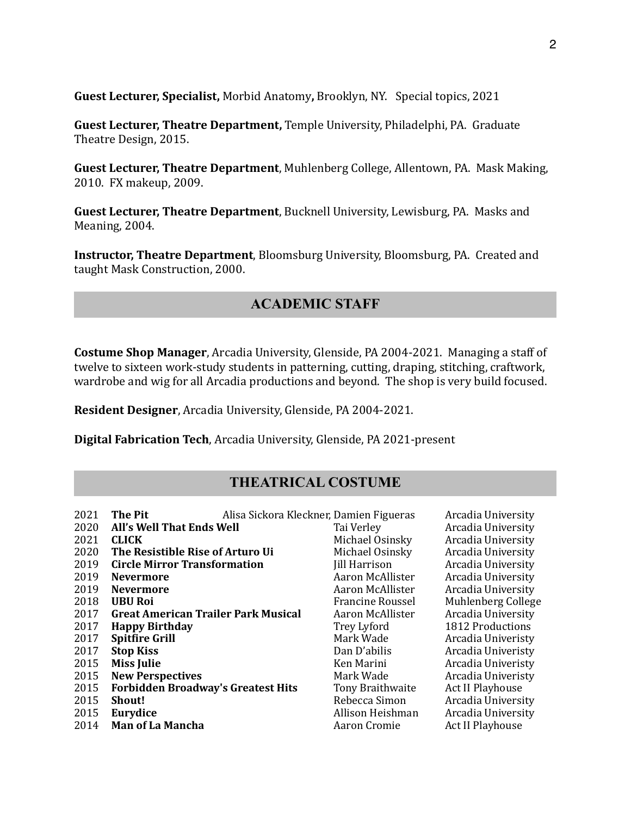**Guest Lecturer, Specialist, Morbid Anatomy, Brooklyn, NY. Special topics, 2021** 

**Guest Lecturer, Theatre Department, Temple University, Philadelphi, PA. Graduate** Theatre Design, 2015.

**Guest Lecturer, Theatre Department**, Muhlenberg College, Allentown, PA. Mask Making, 2010. FX makeup, 2009.

**Guest Lecturer, Theatre Department**, Bucknell University, Lewisburg, PA. Masks and Meaning, 2004.

**Instructor, Theatre Department**, Bloomsburg University, Bloomsburg, PA. Created and taught Mask Construction, 2000.

## **ACADEMIC STAFF**

**Costume Shop Manager**, Arcadia University, Glenside, PA 2004-2021. Managing a staff of twelve to sixteen work-study students in patterning, cutting, draping, stitching, craftwork, wardrobe and wig for all Arcadia productions and beyond. The shop is very build focused.

**Resident Designer**, Arcadia University, Glenside, PA 2004-2021.

**Digital Fabrication Tech**, Arcadia University, Glenside, PA 2021-present

## **THEATRICAL COSTUME**

| 2021 | The Pit                                   | Alisa Sickora Kleckner, Damien Figueras | Arcadia University      |
|------|-------------------------------------------|-----------------------------------------|-------------------------|
| 2020 | All's Well That Ends Well                 | Tai Verley                              | Arcadia University      |
| 2021 | <b>CLICK</b>                              | Michael Osinsky                         | Arcadia University      |
| 2020 | The Resistible Rise of Arturo Ui          | Michael Osinsky                         | Arcadia University      |
| 2019 | <b>Circle Mirror Transformation</b>       | <b>Jill Harrison</b>                    | Arcadia University      |
| 2019 | <b>Nevermore</b>                          | Aaron McAllister                        | Arcadia University      |
| 2019 | <b>Nevermore</b>                          | Aaron McAllister                        | Arcadia University      |
| 2018 | <b>UBU Roi</b>                            | Francine Roussel                        | Muhlenberg College      |
| 2017 | Great American Trailer Park Musical       | Aaron McAllister                        | Arcadia University      |
| 2017 | <b>Happy Birthday</b>                     | Trey Lyford                             | 1812 Productions        |
| 2017 | <b>Spitfire Grill</b>                     | Mark Wade                               | Arcadia Univeristy      |
| 2017 | <b>Stop Kiss</b>                          | Dan D'abilis                            | Arcadia Univeristy      |
| 2015 | <b>Miss Julie</b>                         | Ken Marini                              | Arcadia Univeristy      |
| 2015 | <b>New Perspectives</b>                   | Mark Wade                               | Arcadia Univeristy      |
| 2015 | <b>Forbidden Broadway's Greatest Hits</b> | Tony Braithwaite                        | Act II Playhouse        |
| 2015 | <b>Shout!</b>                             | Rebecca Simon                           | Arcadia University      |
| 2015 | Eurydice                                  | Allison Heishman                        | Arcadia University      |
| 2014 | <b>Man of La Mancha</b>                   | Aaron Cromie                            | <b>Act II Playhouse</b> |
|      |                                           |                                         |                         |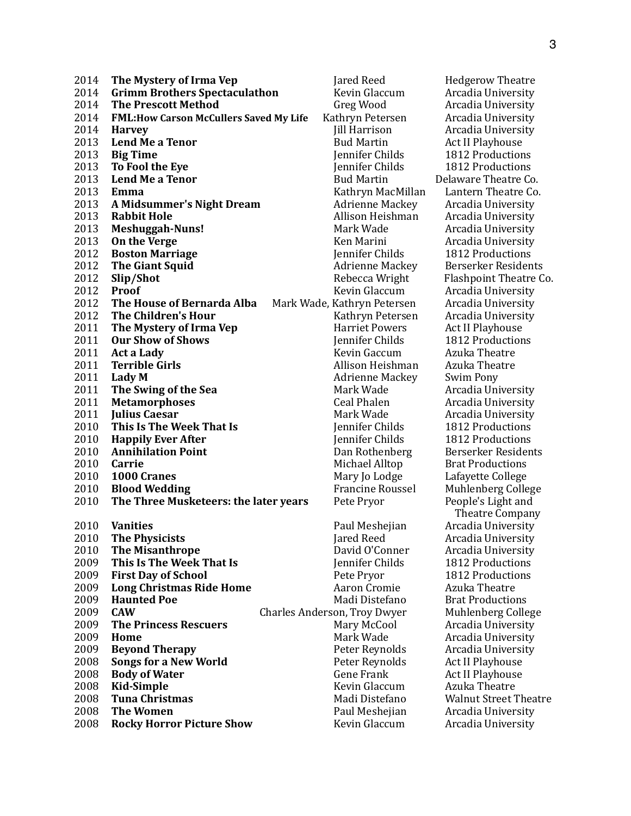**The Mystery of Irma Vep Section 2014 Hedgerow** Theatre **2014 Grimm Brothers Spectaculathon Mevin Glaccum Arcadia University**  The Prescott Method Greg Wood Arcadia University **FML: How Carson McCullers Saved My Life** Kathryn Petersen Arcadia University **2014 • Harvey State Community Community Community Community Community Community Community Community Community Community Community Community Community Community Community Community Community Community Community Community C**  Lend Me a Tenor **Conserversity Bud Martin** Act II Playhouse **Big Time Department Childs 1812** Productions **To Fool the Eye Department Childs 1812** Productions **Lend Me a Tenor Comparison Comparison Comparison Bud Martin Comparison Delaware Theatre Co. Emma Emma Example 2013 Emma Example 2013 Emma Example 2013 Emma Example 2013 Emma Example 2013 Emma A Midsummer's Night Dream Adrienne Mackey Arcadia University Rabbit Hole** *Rabbit Hole Rabbit Hole Rabbit Hole Rabbit <b>Rabbit Hole Rabbit Hole Rabbit Hole Rahbit Museum Allison Heishman Arcadia University*  **Meshuggah-Nuns! Mark Wade** Arcadia University On the Verge *New Your Benefields Marini**Arcadia University*  **Boston Marriage Department Childs 1812** Productions **The Giant Squid Compared Adriguit Compared Adriging Mackey Berserker Residents Slip/Shot** Rebecca Wright Flashpoint Theatre Co. **Proof COLLACTE: Proof COLLACTE: COLLACTE: COLLACTE: COLLACTE: COLLACTE: COLLACTE: COLLACTE: COLLACTE: COLLACTE: COLLACTE: COLLACTE: COLLACTE: COLLACTE: COLLACTE: COLLACTE: COLLAC 2012 The House of Bernarda Alba** Mark Wade, Kathryn Petersen Arcadia University<br> **2012 The Children's Hour** Kathryn Petersen Arcadia University **The Children's Hour** *Children's* **Hour**  *Kathryn Petersen <b>Arcadia University*  **The Mystery of Irma Vep Harriet Powers** Act II Playhouse **Our Show of Shows Childs Childs Childs Childs Childs Childs Childs Childs Childs Childs Childs Childs Childs Childs Childs Childs Childs Childs Childs Childs Childs Child Act a Lady Terrible Girls Compared Allison Heishman** Azuka Theatre **Lady M Contract Additionary Additional Mackey** Swim Pony<br> **2011 The Swing of the Sea Contract Mack Wade** *Mark Wade Arcadia Uni* **2011 The Swing of the Sea Sea Sea Sea Sea Seau Arcadia University**<br> **Ceal Phalen** Arcadia University<br> **Ceal Phalen** Arcadia University **12011 Metamorphoses**<br> **2012 Mark Wade** Mark Wade Arcadia University<br>
Mark Wade Arcadia University **2011 Iulius Caesar Camerate Caesar Mark Wade Arcadia University This Is The Week That Is** *Is Iennifer Childs* **1812** Productions **Happily Ever After** *Childs* **1812** Productions **Annihilation Point Community Communist Communist Communist Communist Communist Communist Communist Communist Communist Communist Communist Communist Communist Communist Communist Communist Communist Communist Com Carrie Carrie Carrie Carrie Carrie Carrie Carrie Carrie Carrie Carrie Carrie Carrie Carrie Carrie Carrie Carrie Carrie Carrie Carrie Carrie Carrie Carrie Carrie Carrie 2010 1000 Cranes 1000 Cranes 1000 Cranes 1000** Cranes Mary Io Lodge Lafayette College **Blood Wedding State of Trancine Roussel** Muhlenberg College **The Three Musketeers: the later years** Pete Pryor People's Light and **Vanities Contract Contract Contract Contract Paul Meshejian Arcadia University 2010 The Physicists Service State of the Physicists Service Controllering State of the Missanthrope Controllering David O'Conner Arcadia University Arcadia University Arcadia University Arcadia University Arcadia Universi**  The Misanthrope **South American Conner Conner** Arcadia University **This Is The Week That Is** *Is Iennifer Childs* **1812** Productions **2009 First Day of School Compact 2009** Pete Pryor **1812** Productions **Long Christmas Ride Home** *Aaron Cromie Azuka Theatre*  **Haunted Poe**  Madi Distefano Brat Productions The Princess Rescuers **Mary McCool Home Solution Mark Wade Arcadia University Beyond Therapy Beyong Therapy Peter Reynolds** Arcadia University **Songs for a New World Congombig Peter Reynolds** Act II Playhouse **Act II** Playhouse **Congombig Act II** Playhouse **Act II** Playhouse **Kid-Simple**<br> **2008 Tuna Christmas Tuna Christmas Tuna Christmas Tuna Christmas** Madi Distefano Walnut Street Theatre **The Women Commen Example 2008 The Women Commensuration Paul Meshelian Arcadia University Rocky Horror Picture Show Commentary Revin Glaccum Arcadia University** 

**2009 Charles Anderson, Troy Dwyer Muhlenberg College**<br>Mary McCool **Anderson Cene Frank Act II Playhouse**<br> **Revin Glaccum Azuka Theatre** 

 Theatre Company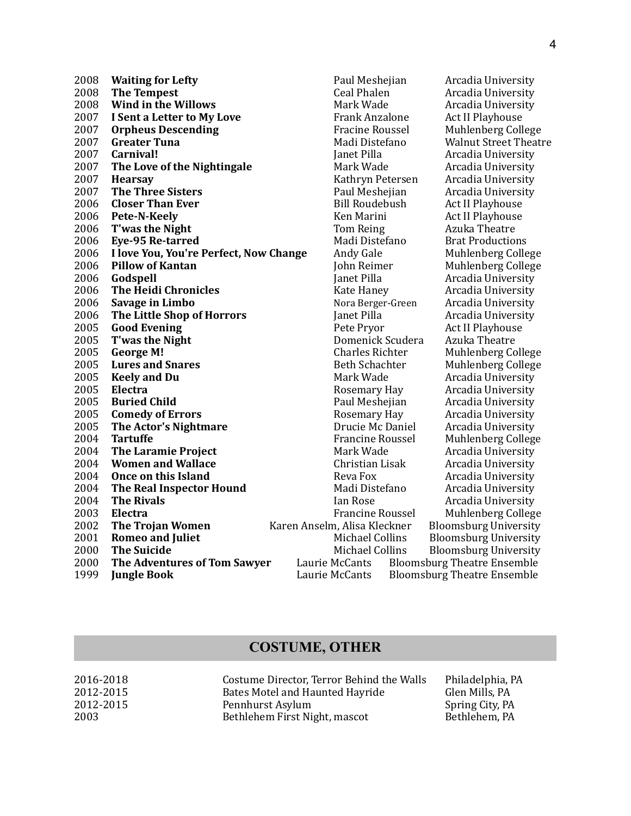| 2008 | <b>Waiting for Lefty</b>               | Paul Meshejian               | Arcadia University                 |
|------|----------------------------------------|------------------------------|------------------------------------|
| 2008 | <b>The Tempest</b>                     | <b>Ceal Phalen</b>           | Arcadia University                 |
| 2008 | <b>Wind in the Willows</b>             | Mark Wade                    | Arcadia University                 |
| 2007 | I Sent a Letter to My Love             | <b>Frank Anzalone</b>        | <b>Act II Playhouse</b>            |
| 2007 | <b>Orpheus Descending</b>              | <b>Fracine Roussel</b>       | Muhlenberg College                 |
| 2007 | <b>Greater Tuna</b>                    | Madi Distefano               | <b>Walnut Street Theat</b>         |
| 2007 | Carnival!                              | Janet Pilla                  | Arcadia University                 |
| 2007 | The Love of the Nightingale            | Mark Wade                    | Arcadia University                 |
| 2007 | <b>Hearsay</b>                         | Kathryn Petersen             | Arcadia University                 |
| 2007 | <b>The Three Sisters</b>               | Paul Meshejian               | Arcadia University                 |
| 2006 | <b>Closer Than Ever</b>                | <b>Bill Roudebush</b>        | Act II Playhouse                   |
| 2006 | Pete-N-Keely                           | Ken Marini                   | <b>Act II Playhouse</b>            |
| 2006 | T'was the Night                        | Tom Reing                    | Azuka Theatre                      |
| 2006 | Eye-95 Re-tarred                       | Madi Distefano               | <b>Brat Productions</b>            |
| 2006 | I love You, You're Perfect, Now Change | Andy Gale                    | Muhlenberg College                 |
| 2006 | <b>Pillow of Kantan</b>                | John Reimer                  | Muhlenberg College                 |
| 2006 | Godspell                               | Janet Pilla                  | Arcadia University                 |
| 2006 | <b>The Heidi Chronicles</b>            | Kate Haney                   | Arcadia University                 |
| 2006 | Savage in Limbo                        | Nora Berger-Green            | Arcadia University                 |
| 2006 | The Little Shop of Horrors             | Janet Pilla                  | Arcadia University                 |
| 2005 | <b>Good Evening</b>                    | Pete Pryor                   | Act II Playhouse                   |
| 2005 | T'was the Night                        | Domenick Scudera             | Azuka Theatre                      |
| 2005 | <b>George M!</b>                       | <b>Charles Richter</b>       | Muhlenberg College                 |
| 2005 | <b>Lures and Snares</b>                | <b>Beth Schachter</b>        | <b>Muhlenberg College</b>          |
| 2005 | <b>Keely and Du</b>                    | Mark Wade                    | Arcadia University                 |
| 2005 | Electra                                | Rosemary Hay                 | Arcadia University                 |
| 2005 | <b>Buried Child</b>                    | Paul Meshejian               | Arcadia University                 |
| 2005 | <b>Comedy of Errors</b>                | Rosemary Hay                 | Arcadia University                 |
| 2005 | The Actor's Nightmare                  | Drucie Mc Daniel             | Arcadia University                 |
| 2004 | <b>Tartuffe</b>                        | <b>Francine Roussel</b>      | Muhlenberg College                 |
| 2004 | <b>The Laramie Project</b>             | Mark Wade                    | Arcadia University                 |
| 2004 | <b>Women and Wallace</b>               | Christian Lisak              | Arcadia University                 |
| 2004 | <b>Once on this Island</b>             | Reva Fox                     | Arcadia University                 |
| 2004 | <b>The Real Inspector Hound</b>        | Madi Distefano               | Arcadia University                 |
| 2004 | <b>The Rivals</b>                      | Ian Rose                     | Arcadia University                 |
| 2003 | Electra                                | <b>Francine Roussel</b>      | Muhlenberg College                 |
| 2002 | <b>The Trojan Women</b>                | Karen Anselm, Alisa Kleckner | <b>Bloomsburg University</b>       |
| 2001 | <b>Romeo and Juliet</b>                | Michael Collins              | <b>Bloomsburg University</b>       |
| 2000 | <b>The Suicide</b>                     | <b>Michael Collins</b>       | <b>Bloomsburg University</b>       |
| 2000 | The Adventures of Tom Sawyer           | Laurie McCants               | <b>Bloomsburg Theatre Ensemble</b> |
| 1999 | <b>Jungle Book</b>                     | Laurie McCants               | <b>Bloomsburg Theatre Ensemble</b> |

Ceal Phalen **Arcadia University Mark Wade Arcadia University** Fracine Roussel **Muhlenberg College** Madi Distefano **Walnut Street Theatre Mark Wade The Compact Arcadia University** Kathryn Petersen Arcadia University Paul Meshejian **Arcadia University 2008 I** Andy Gale **I** Muhlenberg College John Reimer **Muhlenberg College Janet Pilla Arcadia University The Example 3 The Example 1 The Example 2 C** Arcadia University Nora Berger-Green Arcadia University **Janet Pilla Arcadia University** Charles Richter **Muhlenberg College 2005** Beth Schachter **Muhlenberg College** Mark Wade **Arcadia University** Rosemary Hay **Arcadia University** Paul Meshejian **Arcadia University** Rosemary Hay **Arcadia University Drucie Mc Daniel Arcadia University** Francine Roussel **Muhlenberg College Mark Wade Arcadia University Christian Lisak Arcadia University Reva Fox Arcadia University** Madi Distefano **Arcadia University Ian Rose Arcadia University** Francine Roussel **Muhlenberg College** Anselm, Alisa Kleckner Bloomsburg University Michael Collins Bloomsburg University Michael Collins Bloomsburg University

#### **COSTUME, OTHER**

| 2016-2018 | Costume Director, Terror Behind the Walls | Philadelphia, PA |
|-----------|-------------------------------------------|------------------|
| 2012-2015 | Bates Motel and Haunted Hayride           | Glen Mills, PA   |
| 2012-2015 | Pennhurst Asylum                          | Spring City, PA  |
| 2003      | Bethlehem First Night, mascot             | Bethlehem, PA    |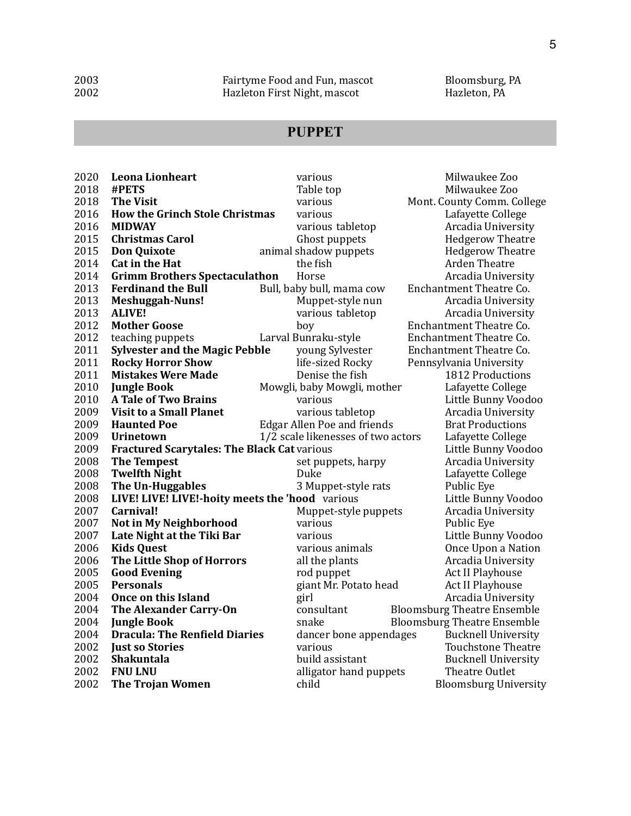# **PUPPET**

| 2020 | <b>Leona Lionheart</b>                             | various                            | Milwaukee Zoo                      |
|------|----------------------------------------------------|------------------------------------|------------------------------------|
| 2018 | #PETS                                              | Table top                          | Milwaukee Zoo                      |
| 2018 | <b>The Visit</b>                                   | various                            | Mont. County Comm. College         |
| 2016 | <b>How the Grinch Stole Christmas</b>              | various                            | Lafayette College                  |
| 2016 | <b>MIDWAY</b>                                      | various tabletop                   | Arcadia University                 |
| 2015 | <b>Christmas Carol</b>                             | Ghost puppets                      | <b>Hedgerow Theatre</b>            |
| 2015 | <b>Don Quixote</b>                                 | animal shadow puppets              | <b>Hedgerow Theatre</b>            |
| 2014 | Cat in the Hat                                     | the fish                           | <b>Arden Theatre</b>               |
| 2014 | <b>Grimm Brothers Spectaculathon</b>               | Horse                              | Arcadia University                 |
| 2013 | <b>Ferdinand the Bull</b>                          | Bull, baby bull, mama cow          | Enchantment Theatre Co.            |
| 2013 | <b>Meshuggah-Nuns!</b>                             | Muppet-style nun                   | Arcadia University                 |
| 2013 | <b>ALIVE!</b>                                      | various tabletop                   | Arcadia University                 |
| 2012 | <b>Mother Goose</b>                                | boy                                | Enchantment Theatre Co.            |
| 2012 | teaching puppets                                   | Larval Bunraku-style               | Enchantment Theatre Co.            |
| 2011 | <b>Sylvester and the Magic Pebble</b>              | young Sylvester                    | Enchantment Theatre Co.            |
| 2011 | <b>Rocky Horror Show</b>                           | life-sized Rocky                   | Pennsylvania University            |
| 2011 | <b>Mistakes Were Made</b>                          | Denise the fish                    | 1812 Productions                   |
| 2010 | <b>Jungle Book</b>                                 | Mowgli, baby Mowgli, mother        | Lafayette College                  |
| 2010 | <b>A Tale of Two Brains</b>                        | various                            | Little Bunny Voodoo                |
| 2009 | <b>Visit to a Small Planet</b>                     | various tabletop                   | Arcadia University                 |
| 2009 | <b>Haunted Poe</b>                                 | <b>Edgar Allen Poe and friends</b> | <b>Brat Productions</b>            |
| 2009 | <b>Urinetown</b>                                   | 1/2 scale likenesses of two actors | Lafayette College                  |
| 2009 | <b>Fractured Scarytales: The Black Cat various</b> |                                    | Little Bunny Voodoo                |
| 2008 | <b>The Tempest</b>                                 | set puppets, harpy                 | Arcadia University                 |
| 2008 | <b>Twelfth Night</b>                               | Duke                               | Lafayette College                  |
| 2008 | The Un-Huggables                                   | 3 Muppet-style rats                | Public Eye                         |
| 2008 | LIVE! LIVE! LIVE!-hoity meets the 'hood various    |                                    | Little Bunny Voodoo                |
| 2007 | Carnival!                                          | Muppet-style puppets               | Arcadia University                 |
| 2007 | Not in My Neighborhood                             | various                            | Public Eye                         |
| 2007 | Late Night at the Tiki Bar                         | various                            | Little Bunny Voodoo                |
| 2006 | <b>Kids Quest</b>                                  | various animals                    | Once Upon a Nation                 |
| 2006 | The Little Shop of Horrors                         | all the plants                     | Arcadia University                 |
| 2005 | <b>Good Evening</b>                                | rod puppet                         | Act II Playhouse                   |
| 2005 | <b>Personals</b>                                   | giant Mr. Potato head              | Act II Playhouse                   |
| 2004 | <b>Once on this Island</b>                         | girl                               | Arcadia University                 |
| 2004 | The Alexander Carry-On                             | consultant                         | <b>Bloomsburg Theatre Ensemble</b> |
| 2004 | <b>Jungle Book</b>                                 | snake                              | <b>Bloomsburg Theatre Ensemble</b> |
| 2004 | <b>Dracula: The Renfield Diaries</b>               | dancer bone appendages             | <b>Bucknell University</b>         |
| 2002 | <b>Just so Stories</b>                             | various                            | <b>Touchstone Theatre</b>          |
| 2002 | Shakuntala                                         | build assistant                    | <b>Bucknell University</b>         |
| 2002 | <b>FNU LNU</b>                                     | alligator hand puppets             | Theatre Outlet                     |
| 2002 | <b>The Trojan Women</b>                            | child                              | <b>Bloomsburg University</b>       |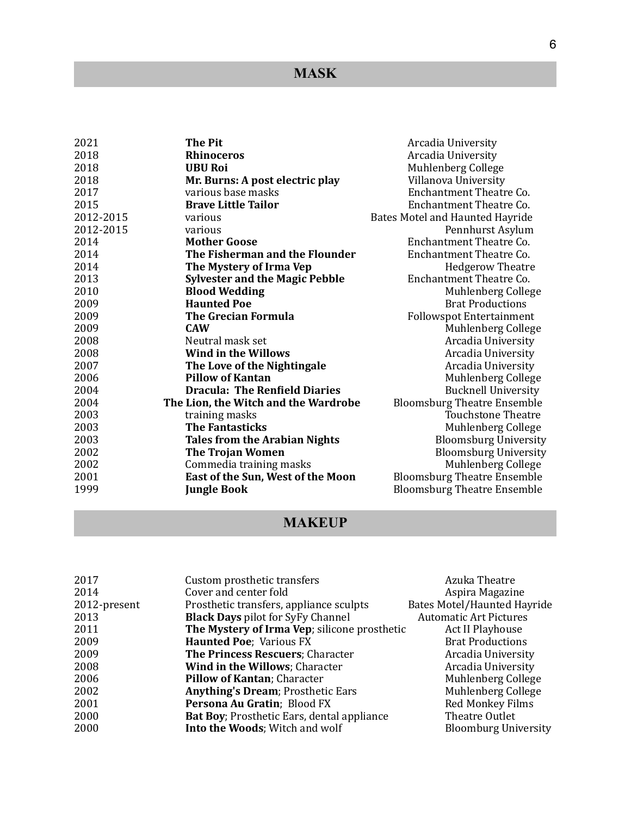# **MASK**

| 2021      | The Pit                               | Arcadia University                 |
|-----------|---------------------------------------|------------------------------------|
| 2018      | <b>Rhinoceros</b>                     | Arcadia University                 |
| 2018      | <b>UBU Roi</b>                        | Muhlenberg College                 |
| 2018      | Mr. Burns: A post electric play       | Villanova University               |
| 2017      | various base masks                    | Enchantment Theatre Co.            |
| 2015      | <b>Brave Little Tailor</b>            | <b>Enchantment Theatre Co.</b>     |
| 2012-2015 | various                               | Bates Motel and Haunted Hayride    |
| 2012-2015 | various                               | Pennhurst Asylum                   |
| 2014      | <b>Mother Goose</b>                   | Enchantment Theatre Co.            |
| 2014      | The Fisherman and the Flounder        | Enchantment Theatre Co.            |
| 2014      | The Mystery of Irma Vep               | <b>Hedgerow Theatre</b>            |
| 2013      | <b>Sylvester and the Magic Pebble</b> | Enchantment Theatre Co.            |
| 2010      | <b>Blood Wedding</b>                  | Muhlenberg College                 |
| 2009      | <b>Haunted Poe</b>                    | <b>Brat Productions</b>            |
| 2009      | <b>The Grecian Formula</b>            | <b>Followspot Entertainment</b>    |
| 2009      | <b>CAW</b>                            | Muhlenberg College                 |
| 2008      | Neutral mask set                      | Arcadia University                 |
| 2008      | <b>Wind in the Willows</b>            | Arcadia University                 |
| 2007      | The Love of the Nightingale           | Arcadia University                 |
| 2006      | <b>Pillow of Kantan</b>               | Muhlenberg College                 |
| 2004      | <b>Dracula: The Renfield Diaries</b>  | <b>Bucknell University</b>         |
| 2004      | The Lion, the Witch and the Wardrobe  | <b>Bloomsburg Theatre Ensemble</b> |
| 2003      | training masks                        | <b>Touchstone Theatre</b>          |
| 2003      | <b>The Fantasticks</b>                | Muhlenberg College                 |
| 2003      | <b>Tales from the Arabian Nights</b>  | <b>Bloomsburg University</b>       |
| 2002      | <b>The Trojan Women</b>               | <b>Bloomsburg University</b>       |
| 2002      | Commedia training masks               | Muhlenberg College                 |
| 2001      | East of the Sun, West of the Moon     | <b>Bloomsburg Theatre Ensemble</b> |
| 1999      | <b>Jungle Book</b>                    | <b>Bloomsburg Theatre Ensemble</b> |

# **MAKEUP**

| Custom prosthetic transfers                        | Azuka Theatre                      |
|----------------------------------------------------|------------------------------------|
| Cover and center fold                              | Aspira Magazine                    |
| Prosthetic transfers, appliance sculpts            | <b>Bates Motel/Haunted Hayride</b> |
| <b>Black Days</b> pilot for SyFy Channel           | <b>Automatic Art Pictures</b>      |
| The Mystery of Irma Vep; silicone prosthetic       | Act II Playhouse                   |
| <b>Haunted Poe</b> ; Various FX                    | <b>Brat Productions</b>            |
| The Princess Rescuers; Character                   | Arcadia University                 |
| Wind in the Willows; Character                     | Arcadia University                 |
| Pillow of Kantan; Character                        | Muhlenberg College                 |
| <b>Anything's Dream</b> ; Prosthetic Ears          | Muhlenberg College                 |
| Persona Au Gratin; Blood FX                        | Red Monkey Films                   |
| <b>Bat Boy</b> ; Prosthetic Ears, dental appliance | Theatre Outlet                     |
| Into the Woods; Witch and wolf                     | <b>Bloomburg University</b>        |
|                                                    |                                    |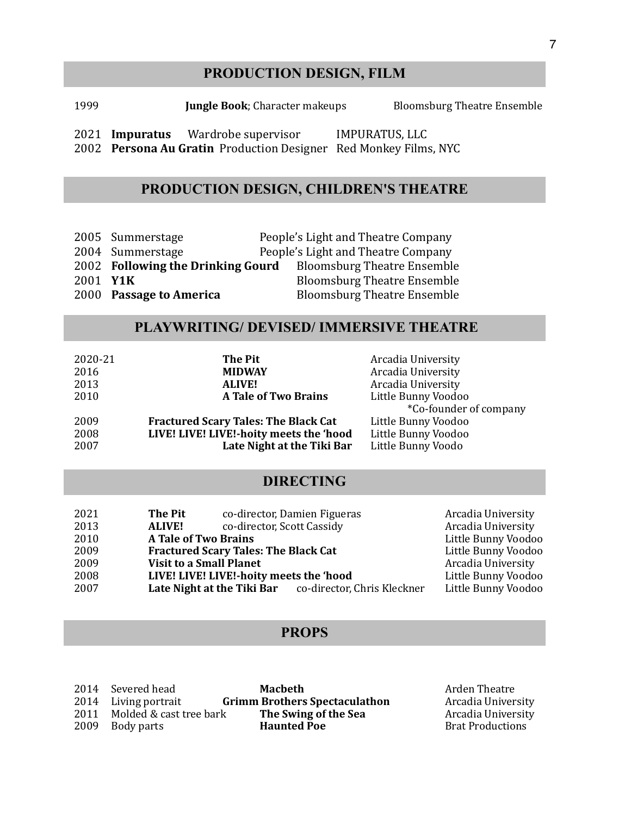## **PRODUCTION DESIGN, FILM**

1999 **Iungle Book**; Character makeups Bloomsburg Theatre Ensemble

2021 **Impuratus** Wardrobe supervisor **IMPURATUS, LLC** 2002 Persona Au Gratin Production Designer Red Monkey Films, NYC

# **PRODUCTION DESIGN, CHILDREN'S THEATRE**

|          | 2005 Summerstage                  | People's Light and Theatre Company |
|----------|-----------------------------------|------------------------------------|
|          | 2004 Summerstage                  | People's Light and Theatre Company |
|          | 2002 Following the Drinking Gourd | <b>Bloomsburg Theatre Ensemble</b> |
| 2001 Y1K |                                   | <b>Bloomsburg Theatre Ensemble</b> |
|          | 2000 Passage to America           | <b>Bloomsburg Theatre Ensemble</b> |

## **PLAYWRITING/ DEVISED/ IMMERSIVE THEATRE**

| 2020-21 | The Pit                                     | Arcadia University            |
|---------|---------------------------------------------|-------------------------------|
| 2016    | <b>MIDWAY</b>                               | Arcadia University            |
| 2013    | <b>ALIVE!</b>                               | Arcadia University            |
| 2010    | <b>A Tale of Two Brains</b>                 | Little Bunny Voodoo           |
|         |                                             | <i>*Co-founder of company</i> |
| 2009    | <b>Fractured Scary Tales: The Black Cat</b> | Little Bunny Voodoo           |
| 2008    | LIVE! LIVE! LIVE!-hoity meets the 'hood     | Little Bunny Voodoo           |
| 2007    | Late Night at the Tiki Bar                  | Little Bunny Voodo            |

### **DIRECTING**

| 2021 | <b>The Pit</b>                 | co-director, Damien Figueras                |                                                        | Arcadia University  |
|------|--------------------------------|---------------------------------------------|--------------------------------------------------------|---------------------|
| 2013 | <b>ALIVE!</b>                  | co-director, Scott Cassidy                  |                                                        | Arcadia University  |
| 2010 | <b>A Tale of Two Brains</b>    |                                             |                                                        | Little Bunny Voodoo |
| 2009 |                                | <b>Fractured Scary Tales: The Black Cat</b> |                                                        | Little Bunny Voodoo |
| 2009 | <b>Visit to a Small Planet</b> |                                             |                                                        | Arcadia University  |
| 2008 |                                | LIVE! LIVE! LIVE!-hoity meets the 'hood     |                                                        | Little Bunny Voodoo |
| 2007 |                                |                                             | Late Night at the Tiki Bar co-director, Chris Kleckner | Little Bunny Voodoo |

#### **PROPS**

| 2014 Severed head            | Macheth                              |
|------------------------------|--------------------------------------|
| 2014 Living portrait         | <b>Grimm Brothers Spectaculathon</b> |
| 2011 Molded & cast tree bark | The Swing of the Sea                 |
| 2009 Body parts              | <b>Haunted Poe</b>                   |

Arden Theatre Arcadia University Arcadia University **Brat Productions**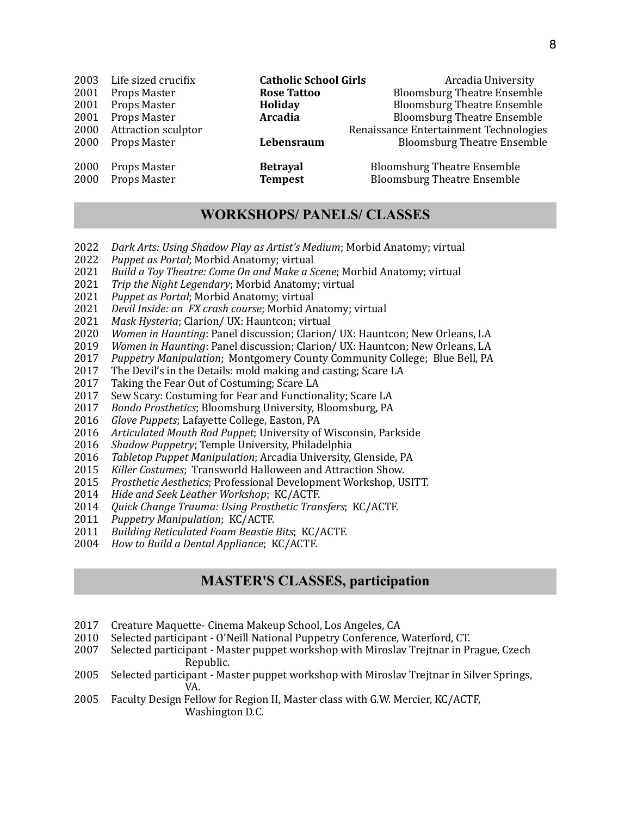| Life sized crucifix          | <b>Catholic School Girls</b>      | Arcadia University                                                       |
|------------------------------|-----------------------------------|--------------------------------------------------------------------------|
| Props Master                 | <b>Rose Tattoo</b>                | <b>Bloomsburg Theatre Ensemble</b>                                       |
| Props Master                 | Holiday                           | <b>Bloomsburg Theatre Ensemble</b>                                       |
| Props Master                 | <b>Arcadia</b>                    | <b>Bloomsburg Theatre Ensemble</b>                                       |
| <b>Attraction sculptor</b>   |                                   | Renaissance Entertainment Technologies                                   |
| Props Master                 | Lebensraum                        | <b>Bloomsburg Theatre Ensemble</b>                                       |
| Props Master<br>Props Master | <b>Betrayal</b><br><b>Tempest</b> | <b>Bloomsburg Theatre Ensemble</b><br><b>Bloomsburg Theatre Ensemble</b> |
|                              |                                   |                                                                          |

### **WORKSHOPS/ PANELS/ CLASSES**

- **2022** *Dark Arts: Using Shadow Play as Artist's Medium*; Morbid Anatomy; virtual
- 2022 Puppet as Portal; Morbid Anatomy; virtual
- 2021 Build a Toy Theatre: Come On and Make a Scene; Morbid Anatomy; virtual
- 2021 *Trip the Night Legendary*; Morbid Anatomy; virtual
- 2021 Puppet as Portal; Morbid Anatomy; virtual
- 2021 *Devil Inside: an FX crash course*; Morbid Anatomy; virtual
- 2021 Mask Hysteria; Clarion/ UX: Hauntcon; virtual
- 2020 *Women in Haunting*: Panel discussion; Clarion/ UX: Hauntcon; New Orleans, LA
- 2019 *Women in Haunting*: Panel discussion; Clarion/ UX: Hauntcon; New Orleans, LA
- 2017 Puppetry Manipulation; Montgomery County Community College; Blue Bell, PA
- 2017 The Devil's in the Details: mold making and casting; Scare LA
- 2017 Taking the Fear Out of Costuming; Scare LA
- 2017 Sew Scary: Costuming for Fear and Functionality; Scare LA
- 2017 Bondo Prosthetics; Bloomsburg University, Bloomsburg, PA
- 2016 Glove Puppets; Lafayette College, Easton, PA
- 2016 Articulated Mouth Rod Puppet; University of Wisconsin, Parkside
- 2016 *Shadow Puppetry*; Temple University, Philadelphia
- 2016 Tabletop Puppet Manipulation; Arcadia University, Glenside, PA
- 2015 Killer Costumes; Transworld Halloween and Attraction Show.
- 2015 Prosthetic Aesthetics; Professional Development Workshop, USITT.
- 2014 Hide and Seek Leather Workshop; KC/ACTF.
- 2014 *Quick Change Trauma: Using Prosthetic Transfers*; KC/ACTF.
- 2011 *Puppetry Manipulation*; KC/ACTF.
- 2011 *Building Reticulated Foam Beastie Bits*; KC/ACTF.
- 2004 *How to Build a Dental Appliance*; KC/ACTF.

#### **MASTER'S CLASSES, participation**

- 2017 Creature Maquette- Cinema Makeup School, Los Angeles, CA
- 2010 Selected participant O'Neill National Puppetry Conference, Waterford, CT.
- 2007 Selected participant Master puppet workshop with Miroslav Trejtnar in Prague, Czech Republic.
- 2005 Selected participant Master puppet workshop with Miroslav Trejtnar in Silver Springs, VA.
- 2005 Faculty Design Fellow for Region II, Master class with G.W. Mercier, KC/ACTF, Washington D.C.